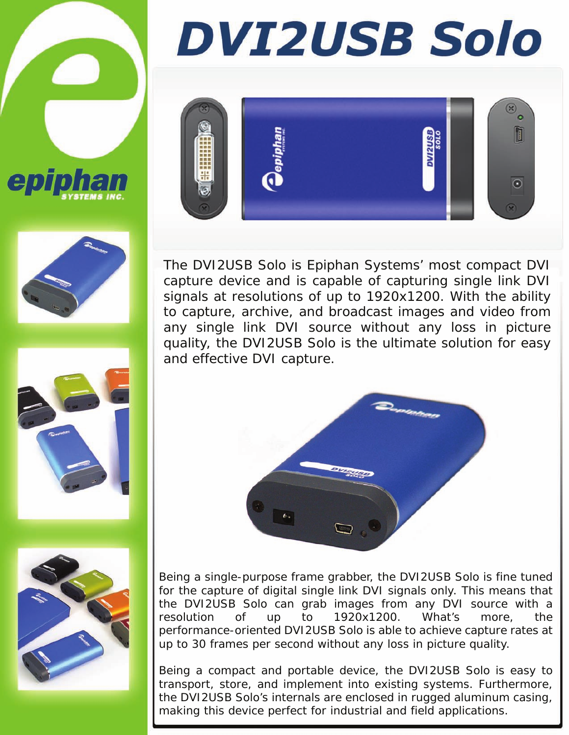







# **DVI2USB Solo**



The DVI2USB Solo is Epiphan Systems' most compact DVI capture device and is capable of capturing single link DVI signals at resolutions of up to 1920x1200. With the ability to capture, archive, and broadcast images and video from any single link DVI source without any loss in picture quality, the DVI2USB Solo is the ultimate solution for easy and effective DVI capture.



Being a single-purpose frame grabber, the DVI2USB Solo is fine tuned for the capture of digital single link DVI signals only. This means that the DVI2USB Solo can grab images from any DVI source with a resolution of up to 1920x1200. What's more, the performance-oriented DVI2USB Solo is able to achieve capture rates at up to 30 frames per second without any loss in picture quality.

Being a compact and portable device, the DVI2USB Solo is easy to transport, store, and implement into existing systems. Furthermore, the DVI2USB Solo's internals are enclosed in rugged aluminum casing, making this device perfect for industrial and field applications.